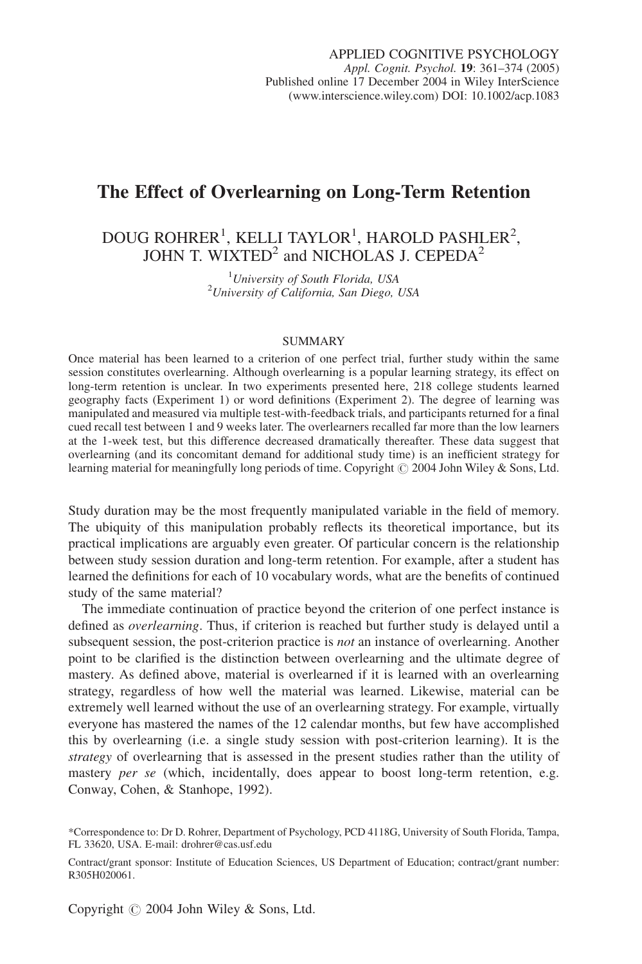# The Effect of Overlearning on Long-Term Retention

# DOUG ROHRER<sup>1</sup>, KELLI TAYLOR<sup>1</sup>, HAROLD PASHLER<sup>2</sup>, JOHN T. WIXTED<sup>2</sup> and NICHOLAS J. CEPEDA<sup>2</sup>

<sup>1</sup>University of South Florida, USA <sup>1</sup> University of South Florida, USA<br><sup>2</sup> University of California, San Diego, USA

#### SUMMARY

Once material has been learned to a criterion of one perfect trial, further study within the same session constitutes overlearning. Although overlearning is a popular learning strategy, its effect on long-term retention is unclear. In two experiments presented here, 218 college students learned geography facts (Experiment 1) or word definitions (Experiment 2). The degree of learning was manipulated and measured via multiple test-with-feedback trials, and participants returned for a final cued recall test between 1 and 9 weeks later. The overlearners recalled far more than the low learners at the 1-week test, but this difference decreased dramatically thereafter. These data suggest that overlearning (and its concomitant demand for additional study time) is an inefficient strategy for learning material for meaningfully long periods of time. Copyright  $\odot$  2004 John Wiley & Sons, Ltd.

Study duration may be the most frequently manipulated variable in the field of memory. The ubiquity of this manipulation probably reflects its theoretical importance, but its practical implications are arguably even greater. Of particular concern is the relationship between study session duration and long-term retention. For example, after a student has learned the definitions for each of 10 vocabulary words, what are the benefits of continued study of the same material?

The immediate continuation of practice beyond the criterion of one perfect instance is defined as *overlearning*. Thus, if criterion is reached but further study is delayed until a subsequent session, the post-criterion practice is *not* an instance of overlearning. Another point to be clarified is the distinction between overlearning and the ultimate degree of mastery. As defined above, material is overlearned if it is learned with an overlearning strategy, regardless of how well the material was learned. Likewise, material can be extremely well learned without the use of an overlearning strategy. For example, virtually everyone has mastered the names of the 12 calendar months, but few have accomplished this by overlearning (i.e. a single study session with post-criterion learning). It is the strategy of overlearning that is assessed in the present studies rather than the utility of mastery *per se* (which, incidentally, does appear to boost long-term retention, e.g. Conway, Cohen, & Stanhope, 1992).

Copyright  $\odot$  2004 John Wiley & Sons, Ltd.

<sup>\*</sup>Correspondence to: Dr D. Rohrer, Department of Psychology, PCD 4118G, University of South Florida, Tampa, FL 33620, USA. E-mail: drohrer@cas.usf.edu

Contract/grant sponsor: Institute of Education Sciences, US Department of Education; contract/grant number: R305H020061.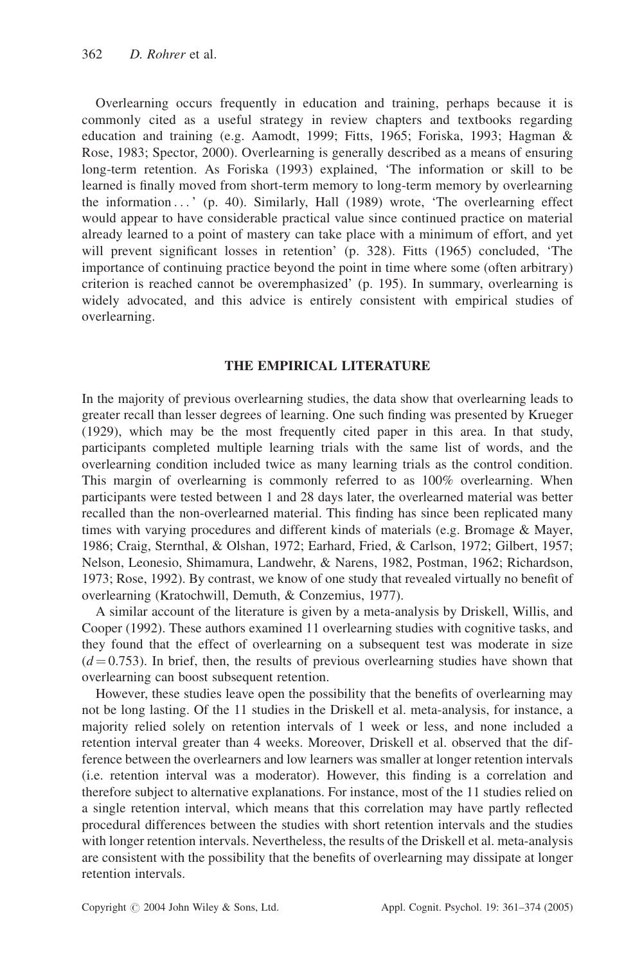Overlearning occurs frequently in education and training, perhaps because it is commonly cited as a useful strategy in review chapters and textbooks regarding education and training (e.g. Aamodt, 1999; Fitts, 1965; Foriska, 1993; Hagman & Rose, 1983; Spector, 2000). Overlearning is generally described as a means of ensuring long-term retention. As Foriska (1993) explained, 'The information or skill to be learned is finally moved from short-term memory to long-term memory by overlearning the information ... ' (p. 40). Similarly, Hall (1989) wrote, 'The overlearning effect would appear to have considerable practical value since continued practice on material already learned to a point of mastery can take place with a minimum of effort, and yet will prevent significant losses in retention' (p. 328). Fitts (1965) concluded, 'The importance of continuing practice beyond the point in time where some (often arbitrary) criterion is reached cannot be overemphasized' (p. 195). In summary, overlearning is widely advocated, and this advice is entirely consistent with empirical studies of overlearning.

#### THE EMPIRICAL LITERATURE

In the majority of previous overlearning studies, the data show that overlearning leads to greater recall than lesser degrees of learning. One such finding was presented by Krueger (1929), which may be the most frequently cited paper in this area. In that study, participants completed multiple learning trials with the same list of words, and the overlearning condition included twice as many learning trials as the control condition. This margin of overlearning is commonly referred to as 100% overlearning. When participants were tested between 1 and 28 days later, the overlearned material was better recalled than the non-overlearned material. This finding has since been replicated many times with varying procedures and different kinds of materials (e.g. Bromage & Mayer, 1986; Craig, Sternthal, & Olshan, 1972; Earhard, Fried, & Carlson, 1972; Gilbert, 1957; Nelson, Leonesio, Shimamura, Landwehr, & Narens, 1982, Postman, 1962; Richardson, 1973; Rose, 1992). By contrast, we know of one study that revealed virtually no benefit of overlearning (Kratochwill, Demuth, & Conzemius, 1977).

A similar account of the literature is given by a meta-analysis by Driskell, Willis, and Cooper (1992). These authors examined 11 overlearning studies with cognitive tasks, and they found that the effect of overlearning on a subsequent test was moderate in size  $(d = 0.753)$ . In brief, then, the results of previous overlearning studies have shown that overlearning can boost subsequent retention.

However, these studies leave open the possibility that the benefits of overlearning may not be long lasting. Of the 11 studies in the Driskell et al. meta-analysis, for instance, a majority relied solely on retention intervals of 1 week or less, and none included a retention interval greater than 4 weeks. Moreover, Driskell et al. observed that the difference between the overlearners and low learners was smaller at longer retention intervals (i.e. retention interval was a moderator). However, this finding is a correlation and therefore subject to alternative explanations. For instance, most of the 11 studies relied on a single retention interval, which means that this correlation may have partly reflected procedural differences between the studies with short retention intervals and the studies with longer retention intervals. Nevertheless, the results of the Driskell et al. meta-analysis are consistent with the possibility that the benefits of overlearning may dissipate at longer retention intervals.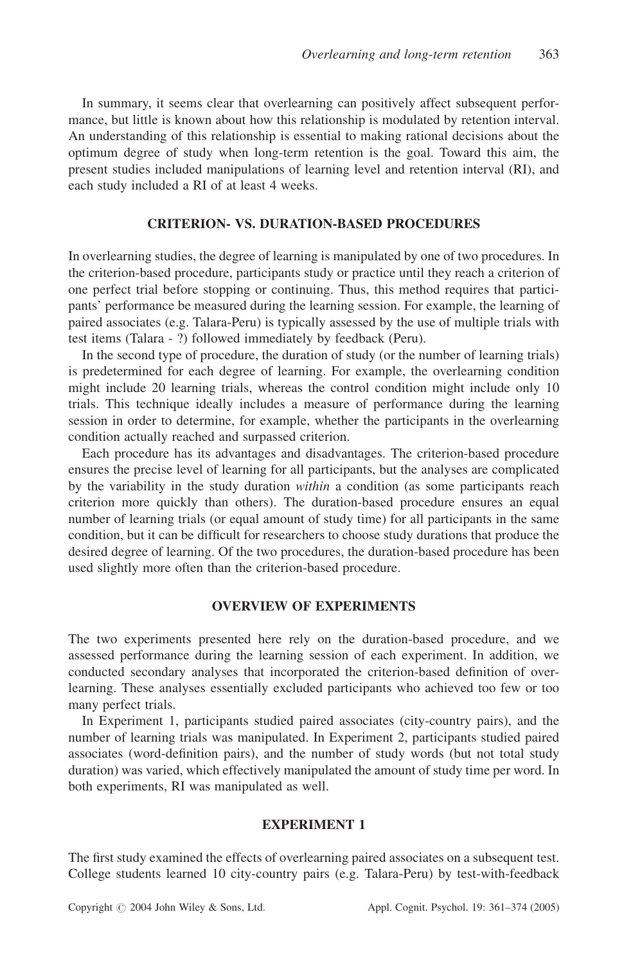In summary, it seems clear that overlearning can positively affect subsequent performance, but little is known about how this relationship is modulated by retention interval. An understanding of this relationship is essential to making rational decisions about the optimum degree of study when long-term retention is the goal. Toward this aim, the present studies included manipulations of learning level and retention interval (RI), and each study included a RI of at least 4 weeks.

#### CRITERION- VS. DURATION-BASED PROCEDURES

In overlearning studies, the degree of learning is manipulated by one of two procedures. In the criterion-based procedure, participants study or practice until they reach a criterion of one perfect trial before stopping or continuing. Thus, this method requires that participants' performance be measured during the learning session. For example, the learning of paired associates (e.g. Talara-Peru) is typically assessed by the use of multiple trials with test items (Talara - ?) followed immediately by feedback (Peru).

In the second type of procedure, the duration of study (or the number of learning trials) is predetermined for each degree of learning. For example, the overlearning condition might include 20 learning trials, whereas the control condition might include only 10 trials. This technique ideally includes a measure of performance during the learning session in order to determine, for example, whether the participants in the overlearning condition actually reached and surpassed criterion.

Each procedure has its advantages and disadvantages. The criterion-based procedure ensures the precise level of learning for all participants, but the analyses are complicated by the variability in the study duration *within* a condition (as some participants reach criterion more quickly than others). The duration-based procedure ensures an equal number of learning trials (or equal amount of study time) for all participants in the same condition, but it can be difficult for researchers to choose study durations that produce the desired degree of learning. Of the two procedures, the duration-based procedure has been used slightly more often than the criterion-based procedure.

## OVERVIEW OF EXPERIMENTS

The two experiments presented here rely on the duration-based procedure, and we assessed performance during the learning session of each experiment. In addition, we conducted secondary analyses that incorporated the criterion-based definition of overlearning. These analyses essentially excluded participants who achieved too few or too many perfect trials.

In Experiment 1, participants studied paired associates (city-country pairs), and the number of learning trials was manipulated. In Experiment 2, participants studied paired associates (word-definition pairs), and the number of study words (but not total study duration) was varied, which effectively manipulated the amount of study time per word. In both experiments, RI was manipulated as well.

#### EXPERIMENT 1

The first study examined the effects of overlearning paired associates on a subsequent test. College students learned 10 city-country pairs (e.g. Talara-Peru) by test-with-feedback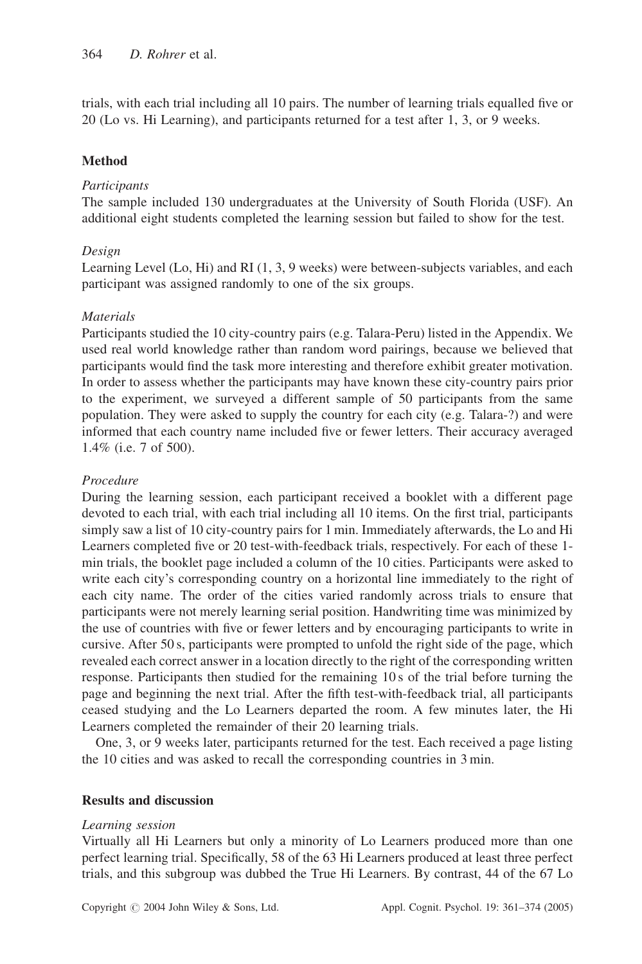trials, with each trial including all 10 pairs. The number of learning trials equalled five or 20 (Lo vs. Hi Learning), and participants returned for a test after 1, 3, or 9 weeks.

## Method

#### **Participants**

The sample included 130 undergraduates at the University of South Florida (USF). An additional eight students completed the learning session but failed to show for the test.

## Design

Learning Level (Lo, Hi) and RI (1, 3, 9 weeks) were between-subjects variables, and each participant was assigned randomly to one of the six groups.

## **Materials**

Participants studied the 10 city-country pairs (e.g. Talara-Peru) listed in the Appendix. We used real world knowledge rather than random word pairings, because we believed that participants would find the task more interesting and therefore exhibit greater motivation. In order to assess whether the participants may have known these city-country pairs prior to the experiment, we surveyed a different sample of 50 participants from the same population. They were asked to supply the country for each city (e.g. Talara-?) and were informed that each country name included five or fewer letters. Their accuracy averaged 1.4% (i.e. 7 of 500).

#### Procedure

During the learning session, each participant received a booklet with a different page devoted to each trial, with each trial including all 10 items. On the first trial, participants simply saw a list of 10 city-country pairs for 1 min. Immediately afterwards, the Lo and Hi Learners completed five or 20 test-with-feedback trials, respectively. For each of these 1 min trials, the booklet page included a column of the 10 cities. Participants were asked to write each city's corresponding country on a horizontal line immediately to the right of each city name. The order of the cities varied randomly across trials to ensure that participants were not merely learning serial position. Handwriting time was minimized by the use of countries with five or fewer letters and by encouraging participants to write in cursive. After 50 s, participants were prompted to unfold the right side of the page, which revealed each correct answer in a location directly to the right of the corresponding written response. Participants then studied for the remaining 10 s of the trial before turning the page and beginning the next trial. After the fifth test-with-feedback trial, all participants ceased studying and the Lo Learners departed the room. A few minutes later, the Hi Learners completed the remainder of their 20 learning trials.

One, 3, or 9 weeks later, participants returned for the test. Each received a page listing the 10 cities and was asked to recall the corresponding countries in 3 min.

#### Results and discussion

#### Learning session

Virtually all Hi Learners but only a minority of Lo Learners produced more than one perfect learning trial. Specifically, 58 of the 63 Hi Learners produced at least three perfect trials, and this subgroup was dubbed the True Hi Learners. By contrast, 44 of the 67 Lo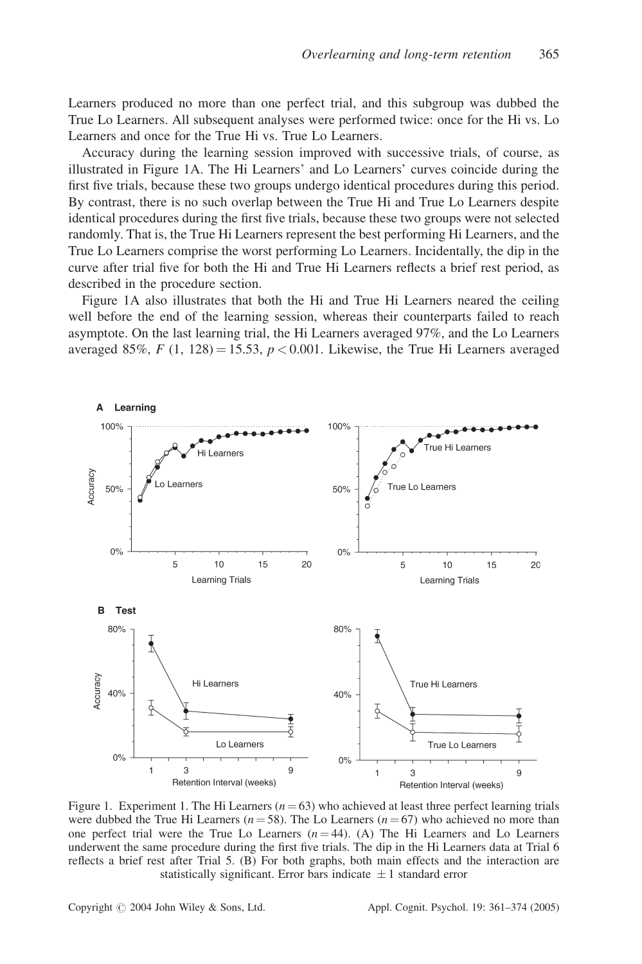Learners produced no more than one perfect trial, and this subgroup was dubbed the True Lo Learners. All subsequent analyses were performed twice: once for the Hi vs. Lo Learners and once for the True Hi vs. True Lo Learners.

Accuracy during the learning session improved with successive trials, of course, as illustrated in Figure 1A. The Hi Learners' and Lo Learners' curves coincide during the first five trials, because these two groups undergo identical procedures during this period. By contrast, there is no such overlap between the True Hi and True Lo Learners despite identical procedures during the first five trials, because these two groups were not selected randomly. That is, the True Hi Learners represent the best performing Hi Learners, and the True Lo Learners comprise the worst performing Lo Learners. Incidentally, the dip in the curve after trial five for both the Hi and True Hi Learners reflects a brief rest period, as described in the procedure section.

Figure 1A also illustrates that both the Hi and True Hi Learners neared the ceiling well before the end of the learning session, whereas their counterparts failed to reach asymptote. On the last learning trial, the Hi Learners averaged 97%, and the Lo Learners averaged 85%,  $F(1, 128) = 15.53$ ,  $p < 0.001$ . Likewise, the True Hi Learners averaged



Figure 1. Experiment 1. The Hi Learners  $(n = 63)$  who achieved at least three perfect learning trials were dubbed the True Hi Learners ( $n = 58$ ). The Lo Learners ( $n = 67$ ) who achieved no more than one perfect trial were the True Lo Learners  $(n = 44)$ . (A) The Hi Learners and Lo Learners underwent the same procedure during the first five trials. The dip in the Hi Learners data at Trial 6 reflects a brief rest after Trial 5. (B) For both graphs, both main effects and the interaction are statistically significant. Error bars indicate  $\pm 1$  standard error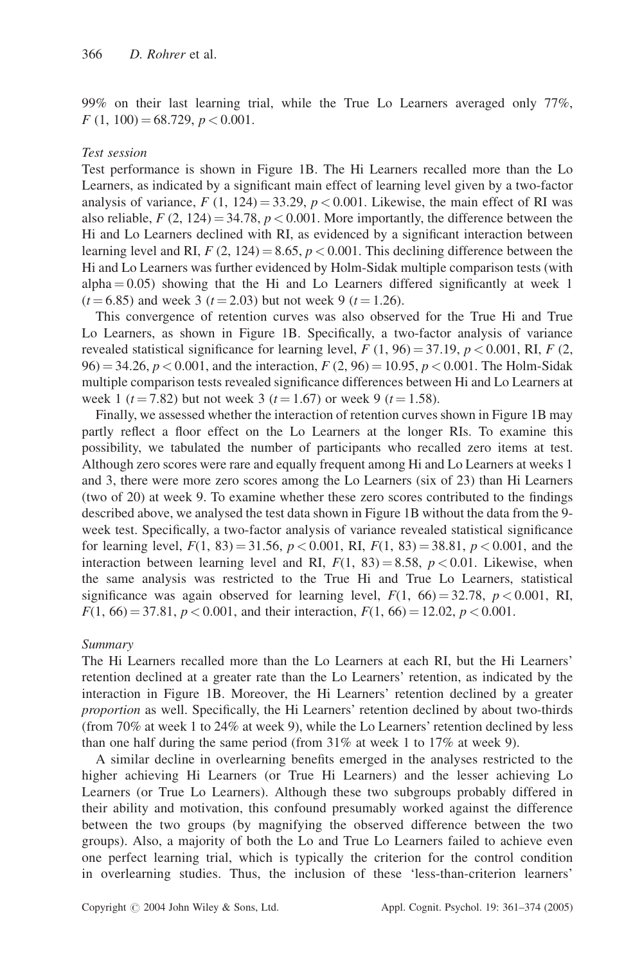99% on their last learning trial, while the True Lo Learners averaged only 77%,  $F(1, 100) = 68.729, p < 0.001.$ 

#### Test session

Test performance is shown in Figure 1B. The Hi Learners recalled more than the Lo Learners, as indicated by a significant main effect of learning level given by a two-factor analysis of variance,  $F(1, 124) = 33.29, p < 0.001$ . Likewise, the main effect of RI was also reliable,  $F(2, 124) = 34.78$ ,  $p < 0.001$ . More importantly, the difference between the Hi and Lo Learners declined with RI, as evidenced by a significant interaction between learning level and RI,  $F(2, 124) = 8.65$ ,  $p < 0.001$ . This declining difference between the Hi and Lo Learners was further evidenced by Holm-Sidak multiple comparison tests (with  $alpha = 0.05$ ) showing that the Hi and Lo Learners differed significantly at week 1  $(t = 6.85)$  and week 3 ( $t = 2.03$ ) but not week 9 ( $t = 1.26$ ).

This convergence of retention curves was also observed for the True Hi and True Lo Learners, as shown in Figure 1B. Specifically, a two-factor analysis of variance revealed statistical significance for learning level,  $F(1, 96) = 37.19$ ,  $p < 0.001$ , RI,  $F(2, 96) = 0.001$  $96$  = 34.26, p < 0.001, and the interaction, F (2, 96) = 10.95, p < 0.001. The Holm-Sidak multiple comparison tests revealed significance differences between Hi and Lo Learners at week 1 ( $t = 7.82$ ) but not week 3 ( $t = 1.67$ ) or week 9 ( $t = 1.58$ ).

Finally, we assessed whether the interaction of retention curves shown in Figure 1B may partly reflect a floor effect on the Lo Learners at the longer RIs. To examine this possibility, we tabulated the number of participants who recalled zero items at test. Although zero scores were rare and equally frequent among Hi and Lo Learners at weeks 1 and 3, there were more zero scores among the Lo Learners (six of 23) than Hi Learners (two of 20) at week 9. To examine whether these zero scores contributed to the findings described above, we analysed the test data shown in Figure 1B without the data from the 9 week test. Specifically, a two-factor analysis of variance revealed statistical significance for learning level,  $F(1, 83) = 31.56$ ,  $p < 0.001$ , RI,  $F(1, 83) = 38.81$ ,  $p < 0.001$ , and the interaction between learning level and RI,  $F(1, 83) = 8.58$ ,  $p < 0.01$ . Likewise, when the same analysis was restricted to the True Hi and True Lo Learners, statistical significance was again observed for learning level,  $F(1, 66) = 32.78$ ,  $p < 0.001$ , RI,  $F(1, 66) = 37.81, p < 0.001$ , and their interaction,  $F(1, 66) = 12.02, p < 0.001$ .

#### Summary

The Hi Learners recalled more than the Lo Learners at each RI, but the Hi Learners' retention declined at a greater rate than the Lo Learners' retention, as indicated by the interaction in Figure 1B. Moreover, the Hi Learners' retention declined by a greater proportion as well. Specifically, the Hi Learners' retention declined by about two-thirds (from 70% at week 1 to 24% at week 9), while the Lo Learners' retention declined by less than one half during the same period (from 31% at week 1 to 17% at week 9).

A similar decline in overlearning benefits emerged in the analyses restricted to the higher achieving Hi Learners (or True Hi Learners) and the lesser achieving Lo Learners (or True Lo Learners). Although these two subgroups probably differed in their ability and motivation, this confound presumably worked against the difference between the two groups (by magnifying the observed difference between the two groups). Also, a majority of both the Lo and True Lo Learners failed to achieve even one perfect learning trial, which is typically the criterion for the control condition in overlearning studies. Thus, the inclusion of these 'less-than-criterion learners'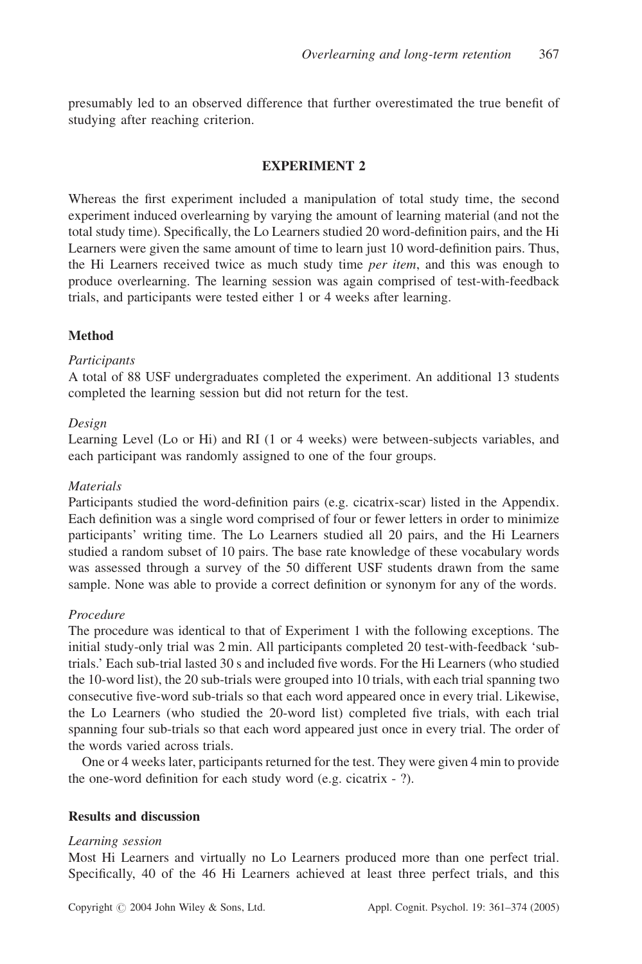presumably led to an observed difference that further overestimated the true benefit of studying after reaching criterion.

## EXPERIMENT 2

Whereas the first experiment included a manipulation of total study time, the second experiment induced overlearning by varying the amount of learning material (and not the total study time). Specifically, the Lo Learners studied 20 word-definition pairs, and the Hi Learners were given the same amount of time to learn just 10 word-definition pairs. Thus, the Hi Learners received twice as much study time *per item*, and this was enough to produce overlearning. The learning session was again comprised of test-with-feedback trials, and participants were tested either 1 or 4 weeks after learning.

## **Method**

## **Participants**

A total of 88 USF undergraduates completed the experiment. An additional 13 students completed the learning session but did not return for the test.

#### Design

Learning Level (Lo or Hi) and RI (1 or 4 weeks) were between-subjects variables, and each participant was randomly assigned to one of the four groups.

#### **Materials**

Participants studied the word-definition pairs (e.g. cicatrix-scar) listed in the Appendix. Each definition was a single word comprised of four or fewer letters in order to minimize participants' writing time. The Lo Learners studied all 20 pairs, and the Hi Learners studied a random subset of 10 pairs. The base rate knowledge of these vocabulary words was assessed through a survey of the 50 different USF students drawn from the same sample. None was able to provide a correct definition or synonym for any of the words.

## Procedure

The procedure was identical to that of Experiment 1 with the following exceptions. The initial study-only trial was 2 min. All participants completed 20 test-with-feedback 'subtrials.' Each sub-trial lasted 30 s and included five words. For the Hi Learners (who studied the 10-word list), the 20 sub-trials were grouped into 10 trials, with each trial spanning two consecutive five-word sub-trials so that each word appeared once in every trial. Likewise, the Lo Learners (who studied the 20-word list) completed five trials, with each trial spanning four sub-trials so that each word appeared just once in every trial. The order of the words varied across trials.

One or 4 weeks later, participants returned for the test. They were given 4 min to provide the one-word definition for each study word (e.g. cicatrix - ?).

#### Results and discussion

#### Learning session

Most Hi Learners and virtually no Lo Learners produced more than one perfect trial. Specifically, 40 of the 46 Hi Learners achieved at least three perfect trials, and this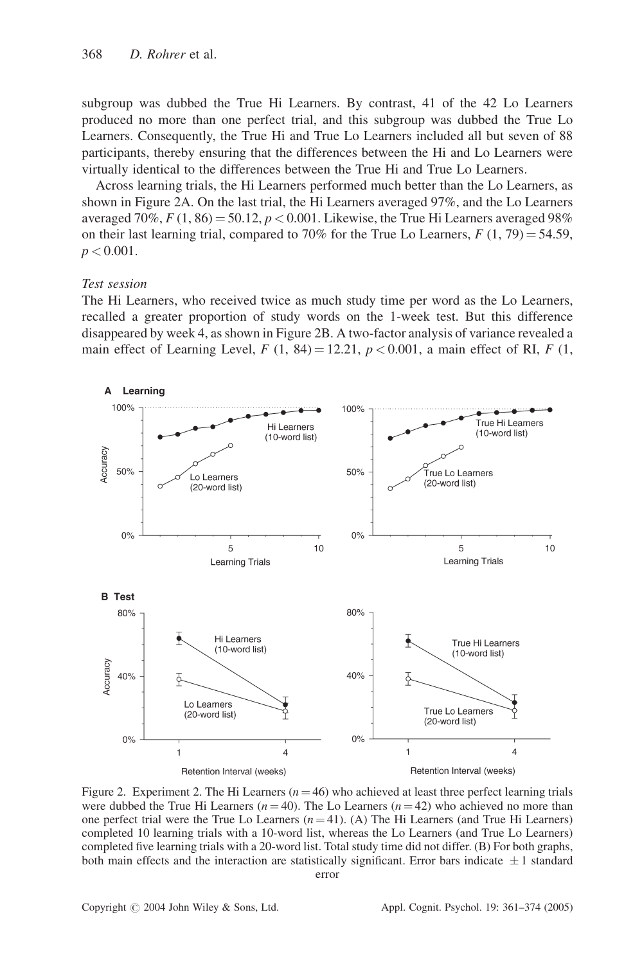subgroup was dubbed the True Hi Learners. By contrast, 41 of the 42 Lo Learners produced no more than one perfect trial, and this subgroup was dubbed the True Lo Learners. Consequently, the True Hi and True Lo Learners included all but seven of 88 participants, thereby ensuring that the differences between the Hi and Lo Learners were virtually identical to the differences between the True Hi and True Lo Learners.

Across learning trials, the Hi Learners performed much better than the Lo Learners, as shown in Figure 2A. On the last trial, the Hi Learners averaged 97%, and the Lo Learners averaged 70%,  $F(1, 86) = 50.12$ ,  $p < 0.001$ . Likewise, the True Hi Learners averaged 98% on their last learning trial, compared to 70% for the True Lo Learners,  $F(1, 79) = 54.59$ ,  $p < 0.001$ .

#### Test session

The Hi Learners, who received twice as much study time per word as the Lo Learners, recalled a greater proportion of study words on the 1-week test. But this difference disappeared by week 4, as shown in Figure 2B. A two-factor analysis of variance revealed a main effect of Learning Level,  $F(1, 84) = 12.21$ ,  $p < 0.001$ , a main effect of RI,  $F(1, 1)$ 



Figure 2. Experiment 2. The Hi Learners ( $n = 46$ ) who achieved at least three perfect learning trials were dubbed the True Hi Learners ( $n = 40$ ). The Lo Learners ( $n = 42$ ) who achieved no more than one perfect trial were the True Lo Learners  $(n = 41)$ . (A) The Hi Learners (and True Hi Learners) completed 10 learning trials with a 10-word list, whereas the Lo Learners (and True Lo Learners) completed five learning trials with a 20-word list. Total study time did not differ. (B) For both graphs, both main effects and the interaction are statistically significant. Error bars indicate  $\pm 1$  standard error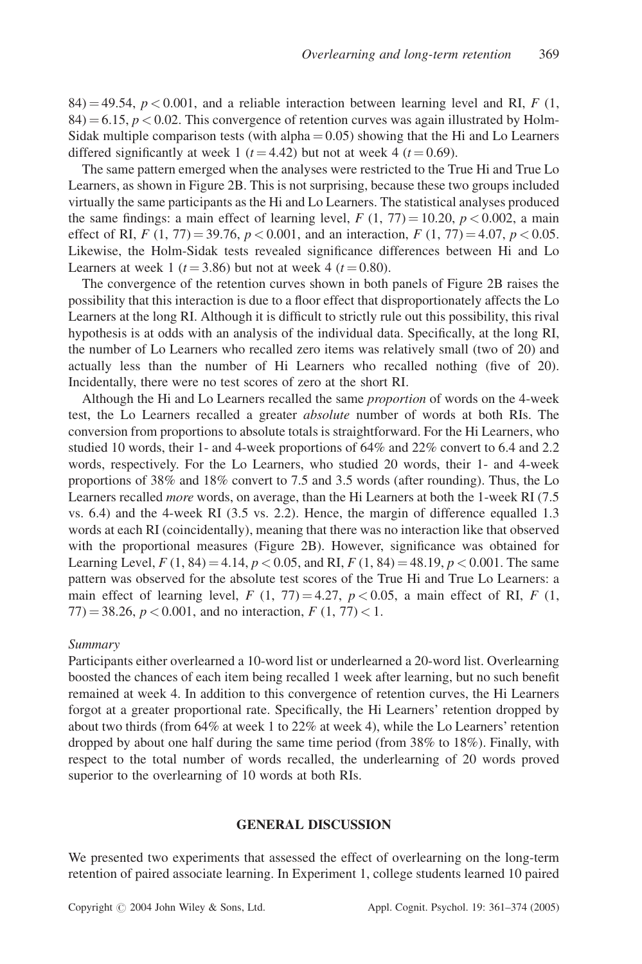84) = 49.54,  $p < 0.001$ , and a reliable interaction between learning level and RI, F (1,  $84$ ) = 6.15,  $p < 0.02$ . This convergence of retention curves was again illustrated by Holm-Sidak multiple comparison tests (with  $alpha = 0.05$ ) showing that the Hi and Lo Learners differed significantly at week 1 ( $t = 4.42$ ) but not at week 4 ( $t = 0.69$ ).

The same pattern emerged when the analyses were restricted to the True Hi and True Lo Learners, as shown in Figure 2B. This is not surprising, because these two groups included virtually the same participants as the Hi and Lo Learners. The statistical analyses produced the same findings: a main effect of learning level,  $F(1, 77) = 10.20, p < 0.002$ , a main effect of RI,  $F(1, 77) = 39.76$ ,  $p < 0.001$ , and an interaction,  $F(1, 77) = 4.07$ ,  $p < 0.05$ . Likewise, the Holm-Sidak tests revealed significance differences between Hi and Lo Learners at week 1 ( $t = 3.86$ ) but not at week 4 ( $t = 0.80$ ).

The convergence of the retention curves shown in both panels of Figure 2B raises the possibility that this interaction is due to a floor effect that disproportionately affects the Lo Learners at the long RI. Although it is difficult to strictly rule out this possibility, this rival hypothesis is at odds with an analysis of the individual data. Specifically, at the long RI, the number of Lo Learners who recalled zero items was relatively small (two of 20) and actually less than the number of Hi Learners who recalled nothing (five of 20). Incidentally, there were no test scores of zero at the short RI.

Although the Hi and Lo Learners recalled the same proportion of words on the 4-week test, the Lo Learners recalled a greater *absolute* number of words at both RIs. The conversion from proportions to absolute totals is straightforward. For the Hi Learners, who studied 10 words, their 1- and 4-week proportions of 64% and 22% convert to 6.4 and 2.2 words, respectively. For the Lo Learners, who studied 20 words, their 1- and 4-week proportions of 38% and 18% convert to 7.5 and 3.5 words (after rounding). Thus, the Lo Learners recalled *more* words, on average, than the Hi Learners at both the 1-week RI (7.5) vs. 6.4) and the 4-week RI (3.5 vs. 2.2). Hence, the margin of difference equalled 1.3 words at each RI (coincidentally), meaning that there was no interaction like that observed with the proportional measures (Figure 2B). However, significance was obtained for Learning Level,  $F(1, 84) = 4.14$ ,  $p < 0.05$ , and RI,  $F(1, 84) = 48.19$ ,  $p < 0.001$ . The same pattern was observed for the absolute test scores of the True Hi and True Lo Learners: a main effect of learning level, F (1, 77) = 4.27,  $p < 0.05$ , a main effect of RI, F (1,  $77$ ) = 38.26,  $p < 0.001$ , and no interaction,  $F(1, 77) < 1$ .

#### **Summary**

Participants either overlearned a 10-word list or underlearned a 20-word list. Overlearning boosted the chances of each item being recalled 1 week after learning, but no such benefit remained at week 4. In addition to this convergence of retention curves, the Hi Learners forgot at a greater proportional rate. Specifically, the Hi Learners' retention dropped by about two thirds (from 64% at week 1 to 22% at week 4), while the Lo Learners' retention dropped by about one half during the same time period (from 38% to 18%). Finally, with respect to the total number of words recalled, the underlearning of 20 words proved superior to the overlearning of 10 words at both RIs.

#### GENERAL DISCUSSION

We presented two experiments that assessed the effect of overlearning on the long-term retention of paired associate learning. In Experiment 1, college students learned 10 paired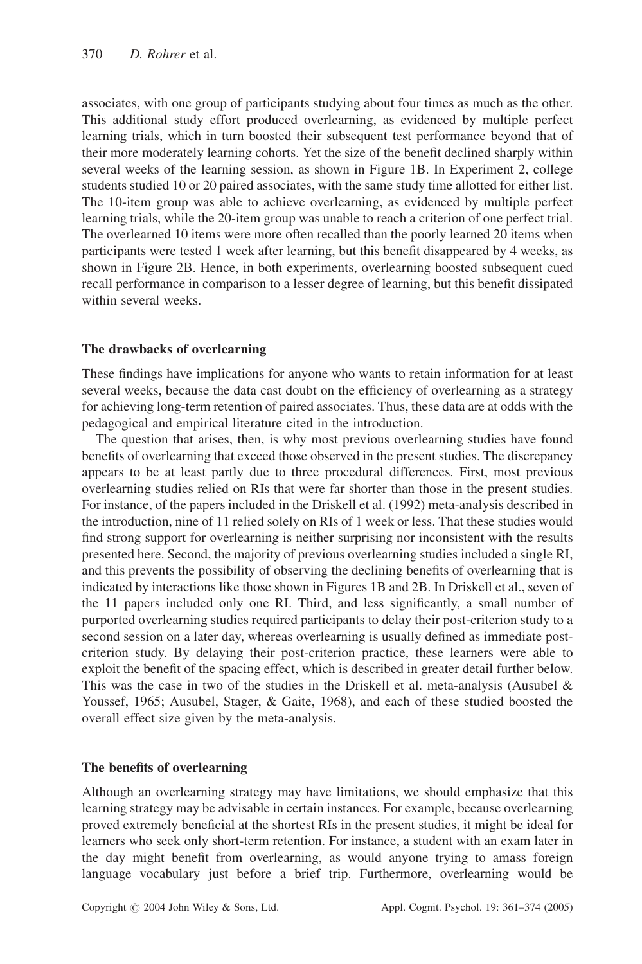associates, with one group of participants studying about four times as much as the other. This additional study effort produced overlearning, as evidenced by multiple perfect learning trials, which in turn boosted their subsequent test performance beyond that of their more moderately learning cohorts. Yet the size of the benefit declined sharply within several weeks of the learning session, as shown in Figure 1B. In Experiment 2, college students studied 10 or 20 paired associates, with the same study time allotted for either list. The 10-item group was able to achieve overlearning, as evidenced by multiple perfect learning trials, while the 20-item group was unable to reach a criterion of one perfect trial. The overlearned 10 items were more often recalled than the poorly learned 20 items when participants were tested 1 week after learning, but this benefit disappeared by 4 weeks, as shown in Figure 2B. Hence, in both experiments, overlearning boosted subsequent cued recall performance in comparison to a lesser degree of learning, but this benefit dissipated within several weeks.

## The drawbacks of overlearning

These findings have implications for anyone who wants to retain information for at least several weeks, because the data cast doubt on the efficiency of overlearning as a strategy for achieving long-term retention of paired associates. Thus, these data are at odds with the pedagogical and empirical literature cited in the introduction.

The question that arises, then, is why most previous overlearning studies have found benefits of overlearning that exceed those observed in the present studies. The discrepancy appears to be at least partly due to three procedural differences. First, most previous overlearning studies relied on RIs that were far shorter than those in the present studies. For instance, of the papers included in the Driskell et al. (1992) meta-analysis described in the introduction, nine of 11 relied solely on RIs of 1 week or less. That these studies would find strong support for overlearning is neither surprising nor inconsistent with the results presented here. Second, the majority of previous overlearning studies included a single RI, and this prevents the possibility of observing the declining benefits of overlearning that is indicated by interactions like those shown in Figures 1B and 2B. In Driskell et al., seven of the 11 papers included only one RI. Third, and less significantly, a small number of purported overlearning studies required participants to delay their post-criterion study to a second session on a later day, whereas overlearning is usually defined as immediate postcriterion study. By delaying their post-criterion practice, these learners were able to exploit the benefit of the spacing effect, which is described in greater detail further below. This was the case in two of the studies in the Driskell et al. meta-analysis (Ausubel  $\&$ Youssef, 1965; Ausubel, Stager, & Gaite, 1968), and each of these studied boosted the overall effect size given by the meta-analysis.

## The benefits of overlearning

Although an overlearning strategy may have limitations, we should emphasize that this learning strategy may be advisable in certain instances. For example, because overlearning proved extremely beneficial at the shortest RIs in the present studies, it might be ideal for learners who seek only short-term retention. For instance, a student with an exam later in the day might benefit from overlearning, as would anyone trying to amass foreign language vocabulary just before a brief trip. Furthermore, overlearning would be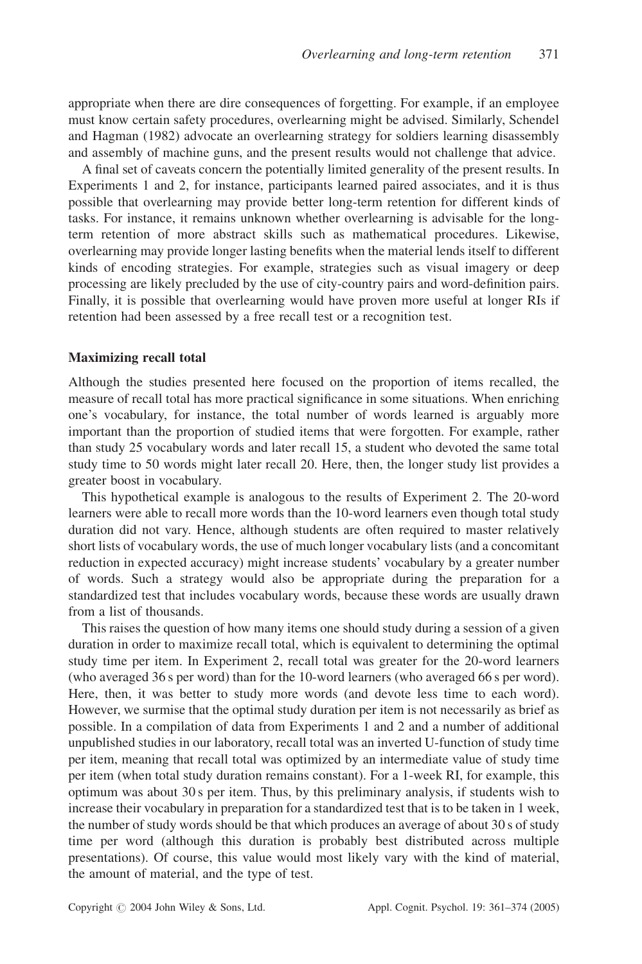appropriate when there are dire consequences of forgetting. For example, if an employee must know certain safety procedures, overlearning might be advised. Similarly, Schendel and Hagman (1982) advocate an overlearning strategy for soldiers learning disassembly and assembly of machine guns, and the present results would not challenge that advice.

A final set of caveats concern the potentially limited generality of the present results. In Experiments 1 and 2, for instance, participants learned paired associates, and it is thus possible that overlearning may provide better long-term retention for different kinds of tasks. For instance, it remains unknown whether overlearning is advisable for the longterm retention of more abstract skills such as mathematical procedures. Likewise, overlearning may provide longer lasting benefits when the material lends itself to different kinds of encoding strategies. For example, strategies such as visual imagery or deep processing are likely precluded by the use of city-country pairs and word-definition pairs. Finally, it is possible that overlearning would have proven more useful at longer RIs if retention had been assessed by a free recall test or a recognition test.

#### Maximizing recall total

Although the studies presented here focused on the proportion of items recalled, the measure of recall total has more practical significance in some situations. When enriching one's vocabulary, for instance, the total number of words learned is arguably more important than the proportion of studied items that were forgotten. For example, rather than study 25 vocabulary words and later recall 15, a student who devoted the same total study time to 50 words might later recall 20. Here, then, the longer study list provides a greater boost in vocabulary.

This hypothetical example is analogous to the results of Experiment 2. The 20-word learners were able to recall more words than the 10-word learners even though total study duration did not vary. Hence, although students are often required to master relatively short lists of vocabulary words, the use of much longer vocabulary lists (and a concomitant reduction in expected accuracy) might increase students' vocabulary by a greater number of words. Such a strategy would also be appropriate during the preparation for a standardized test that includes vocabulary words, because these words are usually drawn from a list of thousands.

This raises the question of how many items one should study during a session of a given duration in order to maximize recall total, which is equivalent to determining the optimal study time per item. In Experiment 2, recall total was greater for the 20-word learners (who averaged 36 s per word) than for the 10-word learners (who averaged 66 s per word). Here, then, it was better to study more words (and devote less time to each word). However, we surmise that the optimal study duration per item is not necessarily as brief as possible. In a compilation of data from Experiments 1 and 2 and a number of additional unpublished studies in our laboratory, recall total was an inverted U-function of study time per item, meaning that recall total was optimized by an intermediate value of study time per item (when total study duration remains constant). For a 1-week RI, for example, this optimum was about 30 s per item. Thus, by this preliminary analysis, if students wish to increase their vocabulary in preparation for a standardized test that is to be taken in 1 week, the number of study words should be that which produces an average of about 30 s of study time per word (although this duration is probably best distributed across multiple presentations). Of course, this value would most likely vary with the kind of material, the amount of material, and the type of test.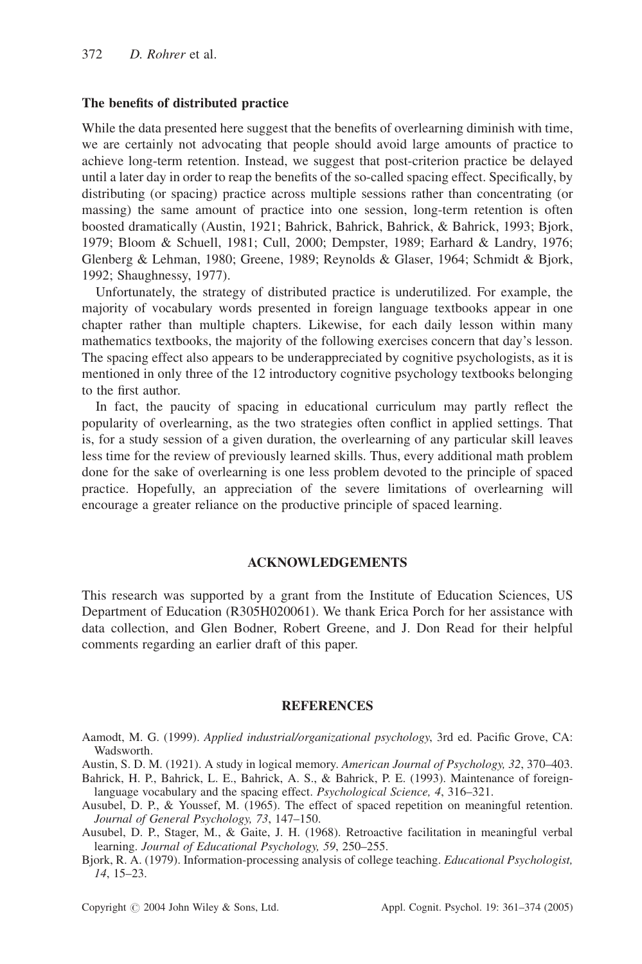#### The benefits of distributed practice

While the data presented here suggest that the benefits of overlearning diminish with time, we are certainly not advocating that people should avoid large amounts of practice to achieve long-term retention. Instead, we suggest that post-criterion practice be delayed until a later day in order to reap the benefits of the so-called spacing effect. Specifically, by distributing (or spacing) practice across multiple sessions rather than concentrating (or massing) the same amount of practice into one session, long-term retention is often boosted dramatically (Austin, 1921; Bahrick, Bahrick, Bahrick, & Bahrick, 1993; Bjork, 1979; Bloom & Schuell, 1981; Cull, 2000; Dempster, 1989; Earhard & Landry, 1976; Glenberg & Lehman, 1980; Greene, 1989; Reynolds & Glaser, 1964; Schmidt & Bjork, 1992; Shaughnessy, 1977).

Unfortunately, the strategy of distributed practice is underutilized. For example, the majority of vocabulary words presented in foreign language textbooks appear in one chapter rather than multiple chapters. Likewise, for each daily lesson within many mathematics textbooks, the majority of the following exercises concern that day's lesson. The spacing effect also appears to be underappreciated by cognitive psychologists, as it is mentioned in only three of the 12 introductory cognitive psychology textbooks belonging to the first author.

In fact, the paucity of spacing in educational curriculum may partly reflect the popularity of overlearning, as the two strategies often conflict in applied settings. That is, for a study session of a given duration, the overlearning of any particular skill leaves less time for the review of previously learned skills. Thus, every additional math problem done for the sake of overlearning is one less problem devoted to the principle of spaced practice. Hopefully, an appreciation of the severe limitations of overlearning will encourage a greater reliance on the productive principle of spaced learning.

#### ACKNOWLEDGEMENTS

This research was supported by a grant from the Institute of Education Sciences, US Department of Education (R305H020061). We thank Erica Porch for her assistance with data collection, and Glen Bodner, Robert Greene, and J. Don Read for their helpful comments regarding an earlier draft of this paper.

#### **REFERENCES**

Aamodt, M. G. (1999). Applied industrial/organizational psychology, 3rd ed. Pacific Grove, CA: Wadsworth.

Austin, S. D. M. (1921). A study in logical memory. American Journal of Psychology, 32, 370–403.

Bahrick, H. P., Bahrick, L. E., Bahrick, A. S., & Bahrick, P. E. (1993). Maintenance of foreignlanguage vocabulary and the spacing effect. Psychological Science, 4, 316–321.

Ausubel, D. P., & Youssef, M. (1965). The effect of spaced repetition on meaningful retention. Journal of General Psychology, 73, 147–150.

Ausubel, D. P., Stager, M., & Gaite, J. H. (1968). Retroactive facilitation in meaningful verbal learning. Journal of Educational Psychology, 59, 250–255.

Bjork, R. A. (1979). Information-processing analysis of college teaching. Educational Psychologist, 14, 15–23.

Copyright  $\odot$  2004 John Wiley & Sons, Ltd. Appl. Cognit. Psychol. 19: 361–374 (2005)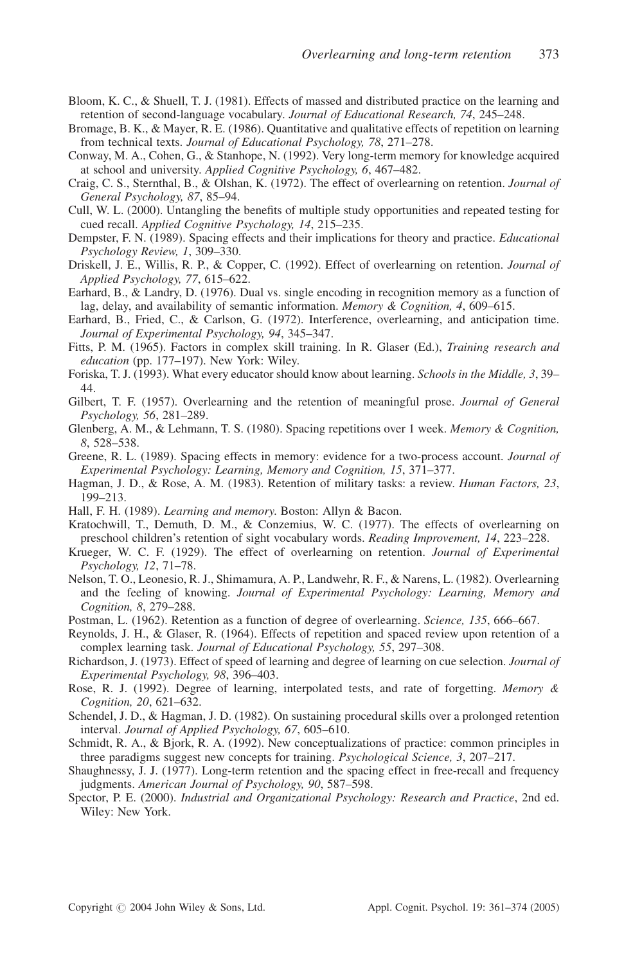- Bloom, K. C., & Shuell, T. J. (1981). Effects of massed and distributed practice on the learning and retention of second-language vocabulary. Journal of Educational Research, 74, 245–248.
- Bromage, B. K., & Mayer, R. E. (1986). Quantitative and qualitative effects of repetition on learning from technical texts. Journal of Educational Psychology, 78, 271–278.
- Conway, M. A., Cohen, G., & Stanhope, N. (1992). Very long-term memory for knowledge acquired at school and university. Applied Cognitive Psychology, 6, 467–482.
- Craig, C. S., Sternthal, B., & Olshan, K. (1972). The effect of overlearning on retention. Journal of General Psychology, 87, 85–94.
- Cull, W. L. (2000). Untangling the benefits of multiple study opportunities and repeated testing for cued recall. Applied Cognitive Psychology, 14, 215–235.
- Dempster, F. N. (1989). Spacing effects and their implications for theory and practice. *Educational* Psychology Review, 1, 309–330.
- Driskell, J. E., Willis, R. P., & Copper, C. (1992). Effect of overlearning on retention. Journal of Applied Psychology, 77, 615–622.
- Earhard, B., & Landry, D. (1976). Dual vs. single encoding in recognition memory as a function of lag, delay, and availability of semantic information. Memory & Cognition, 4, 609-615.
- Earhard, B., Fried, C., & Carlson, G. (1972). Interference, overlearning, and anticipation time. Journal of Experimental Psychology, 94, 345–347.
- Fitts, P. M. (1965). Factors in complex skill training. In R. Glaser (Ed.), Training research and education (pp. 177–197). New York: Wiley.
- Foriska, T. J. (1993). What every educator should know about learning. *Schools in the Middle*, 3, 39– 44.
- Gilbert, T. F. (1957). Overlearning and the retention of meaningful prose. Journal of General Psychology, 56, 281–289.
- Glenberg, A. M., & Lehmann, T. S. (1980). Spacing repetitions over 1 week. Memory & Cognition, 8, 528–538.
- Greene, R. L. (1989). Spacing effects in memory: evidence for a two-process account. *Journal of* Experimental Psychology: Learning, Memory and Cognition, 15, 371–377.
- Hagman, J. D., & Rose, A. M. (1983). Retention of military tasks: a review. *Human Factors*, 23, 199–213.
- Hall, F. H. (1989). *Learning and memory*. Boston: Allyn & Bacon.
- Kratochwill, T., Demuth, D. M., & Conzemius, W. C. (1977). The effects of overlearning on preschool children's retention of sight vocabulary words. Reading Improvement, 14, 223–228.
- Krueger, W. C. F. (1929). The effect of overlearning on retention. Journal of Experimental Psychology, 12, 71–78.
- Nelson, T. O., Leonesio, R. J., Shimamura, A. P., Landwehr, R. F., & Narens, L. (1982). Overlearning and the feeling of knowing. Journal of Experimental Psychology: Learning, Memory and Cognition, 8, 279–288.
- Postman, L. (1962). Retention as a function of degree of overlearning. Science, 135, 666–667.
- Reynolds, J. H., & Glaser, R. (1964). Effects of repetition and spaced review upon retention of a complex learning task. Journal of Educational Psychology, 55, 297-308.
- Richardson, J. (1973). Effect of speed of learning and degree of learning on cue selection. *Journal of* Experimental Psychology, 98, 396–403.
- Rose, R. J. (1992). Degree of learning, interpolated tests, and rate of forgetting. Memory & Cognition, 20, 621–632.
- Schendel, J. D., & Hagman, J. D. (1982). On sustaining procedural skills over a prolonged retention interval. Journal of Applied Psychology, 67, 605–610.
- Schmidt, R. A., & Bjork, R. A. (1992). New conceptualizations of practice: common principles in three paradigms suggest new concepts for training. *Psychological Science*, 3, 207–217.
- Shaughnessy, J. J. (1977). Long-term retention and the spacing effect in free-recall and frequency judgments. American Journal of Psychology, 90, 587–598.
- Spector, P. E. (2000). Industrial and Organizational Psychology: Research and Practice, 2nd ed. Wiley: New York.